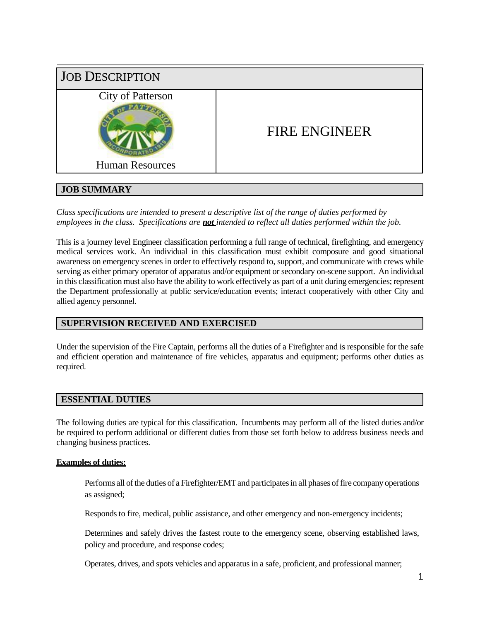

# **JOB SUMMARY**

*Class specifications are intended to present a descriptive list of the range of duties performed by employees in the class. Specifications are not intended to reflect all duties performed within the job.*

This is a journey level Engineer classification performing a full range of technical, firefighting, and emergency medical services work. An individual in this classification must exhibit composure and good situational awareness on emergency scenes in order to effectively respond to, support, and communicate with crews while serving as either primary operator of apparatus and/or equipment or secondary on-scene support. An individual in this classification must also have the ability to work effectively as part of a unit during emergencies; represent the Department professionally at public service/education events; interact cooperatively with other City and allied agency personnel.

# **SUPERVISION RECEIVED AND EXERCISED**

Under the supervision of the Fire Captain, performs all the duties of a Firefighter and is responsible for the safe and efficient operation and maintenance of fire vehicles, apparatus and equipment; performs other duties as required.

### **ESSENTIAL DUTIES**

The following duties are typical for this classification. Incumbents may perform all of the listed duties and/or be required to perform additional or different duties from those set forth below to address business needs and changing business practices.

### **Examples of duties:**

Performs all of the duties of a Firefighter/EMT and participates in all phases of fire company operations as assigned;

Responds to fire, medical, public assistance, and other emergency and non-emergency incidents;

Determines and safely drives the fastest route to the emergency scene, observing established laws, policy and procedure, and response codes;

Operates, drives, and spots vehicles and apparatus in a safe, proficient, and professional manner;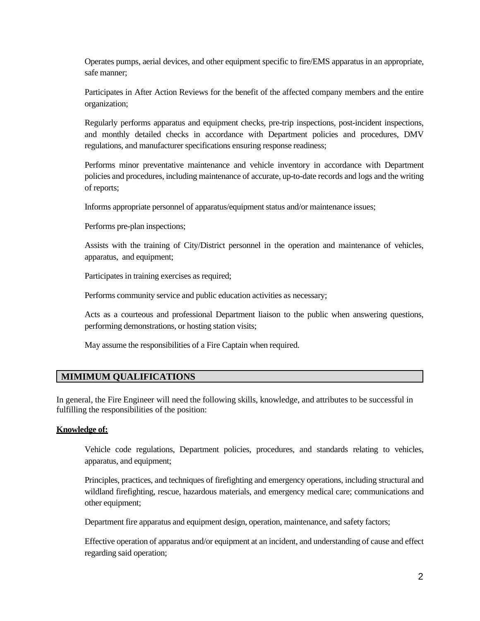Operates pumps, aerial devices, and other equipment specific to fire/EMS apparatus in an appropriate, safe manner;

Participates in After Action Reviews for the benefit of the affected company members and the entire organization;

Regularly performs apparatus and equipment checks, pre-trip inspections, post-incident inspections, and monthly detailed checks in accordance with Department policies and procedures, DMV regulations, and manufacturer specifications ensuring response readiness;

Performs minor preventative maintenance and vehicle inventory in accordance with Department policies and procedures, including maintenance of accurate, up-to-date records and logs and the writing of reports;

Informs appropriate personnel of apparatus/equipment status and/or maintenance issues;

Performs pre-plan inspections;

Assists with the training of City/District personnel in the operation and maintenance of vehicles, apparatus, and equipment;

Participates in training exercises as required;

Performs community service and public education activities as necessary;

Acts as a courteous and professional Department liaison to the public when answering questions, performing demonstrations, or hosting station visits;

May assume the responsibilities of a Fire Captain when required.

# **MIMIMUM QUALIFICATIONS**

In general, the Fire Engineer will need the following skills, knowledge, and attributes to be successful in fulfilling the responsibilities of the position:

#### **Knowledge of:**

Vehicle code regulations, Department policies, procedures, and standards relating to vehicles, apparatus, and equipment;

Principles, practices, and techniques of firefighting and emergency operations, including structural and wildland firefighting, rescue, hazardous materials, and emergency medical care; communications and other equipment;

Department fire apparatus and equipment design, operation, maintenance, and safety factors;

Effective operation of apparatus and/or equipment at an incident, and understanding of cause and effect regarding said operation;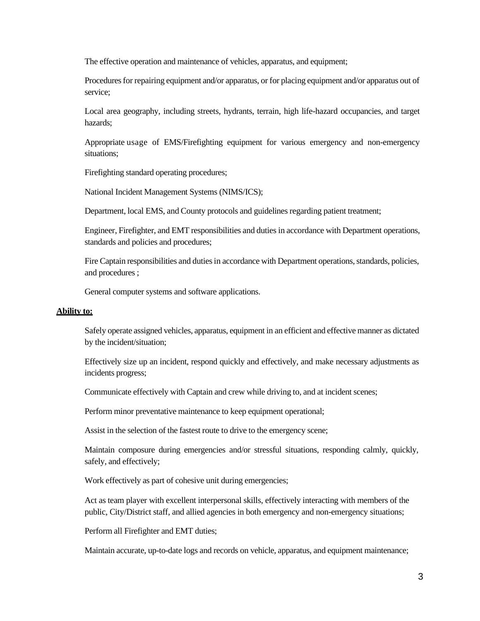The effective operation and maintenance of vehicles, apparatus, and equipment;

Procedures for repairing equipment and/or apparatus, or for placing equipment and/or apparatus out of service;

Local area geography, including streets, hydrants, terrain, high life-hazard occupancies, and target hazards;

Appropriate usage of EMS/Firefighting equipment for various emergency and non-emergency situations;

Firefighting standard operating procedures;

National Incident Management Systems (NIMS/ICS);

Department, local EMS, and County protocols and guidelines regarding patient treatment;

Engineer, Firefighter, and EMT responsibilities and duties in accordance with Department operations, standards and policies and procedures;

Fire Captain responsibilities and duties in accordance with Department operations, standards, policies, and procedures ;

General computer systems and software applications.

### **Ability to:**

Safely operate assigned vehicles, apparatus, equipment in an efficient and effective manner as dictated by the incident/situation;

Effectively size up an incident, respond quickly and effectively, and make necessary adjustments as incidents progress;

Communicate effectively with Captain and crew while driving to, and at incident scenes;

Perform minor preventative maintenance to keep equipment operational;

Assist in the selection of the fastest route to drive to the emergency scene;

Maintain composure during emergencies and/or stressful situations, responding calmly, quickly, safely, and effectively;

Work effectively as part of cohesive unit during emergencies;

Act as team player with excellent interpersonal skills, effectively interacting with members of the public, City/District staff, and allied agencies in both emergency and non-emergency situations;

Perform all Firefighter and EMT duties;

Maintain accurate, up-to-date logs and records on vehicle, apparatus, and equipment maintenance;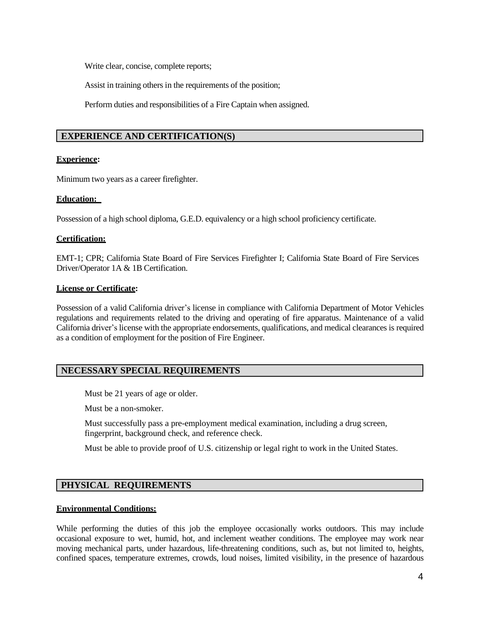Write clear, concise, complete reports;

Assist in training others in the requirements of the position;

Perform duties and responsibilities of a Fire Captain when assigned.

### **EXPERIENCE AND CERTIFICATION(S)**

### **Experience:**

Minimum two years as a career firefighter.

### **Education:**

Possession of a high school diploma, G.E.D. equivalency or a high school proficiency certificate.

### **Certification:**

EMT-1; CPR; California State Board of Fire Services Firefighter I; California State Board of Fire Services Driver/Operator 1A & 1B Certification.

### **License or Certificate:**

Possession of a valid California driver's license in compliance with California Department of Motor Vehicles regulations and requirements related to the driving and operating of fire apparatus. Maintenance of a valid California driver's license with the appropriate endorsements, qualifications, and medical clearances is required as a condition of employment for the position of Fire Engineer.

# **NECESSARY SPECIAL REQUIREMENTS**

Must be 21 years of age or older.

Must be a non-smoker.

Must successfully pass a pre-employment medical examination, including a drug screen, fingerprint, background check, and reference check.

Must be able to provide proof of U.S. citizenship or legal right to work in the United States.

# **PHYSICAL REQUIREMENTS**

#### **Environmental Conditions:**

While performing the duties of this job the employee occasionally works outdoors. This may include occasional exposure to wet, humid, hot, and inclement weather conditions. The employee may work near moving mechanical parts, under hazardous, life-threatening conditions, such as, but not limited to, heights, confined spaces, temperature extremes, crowds, loud noises, limited visibility, in the presence of hazardous